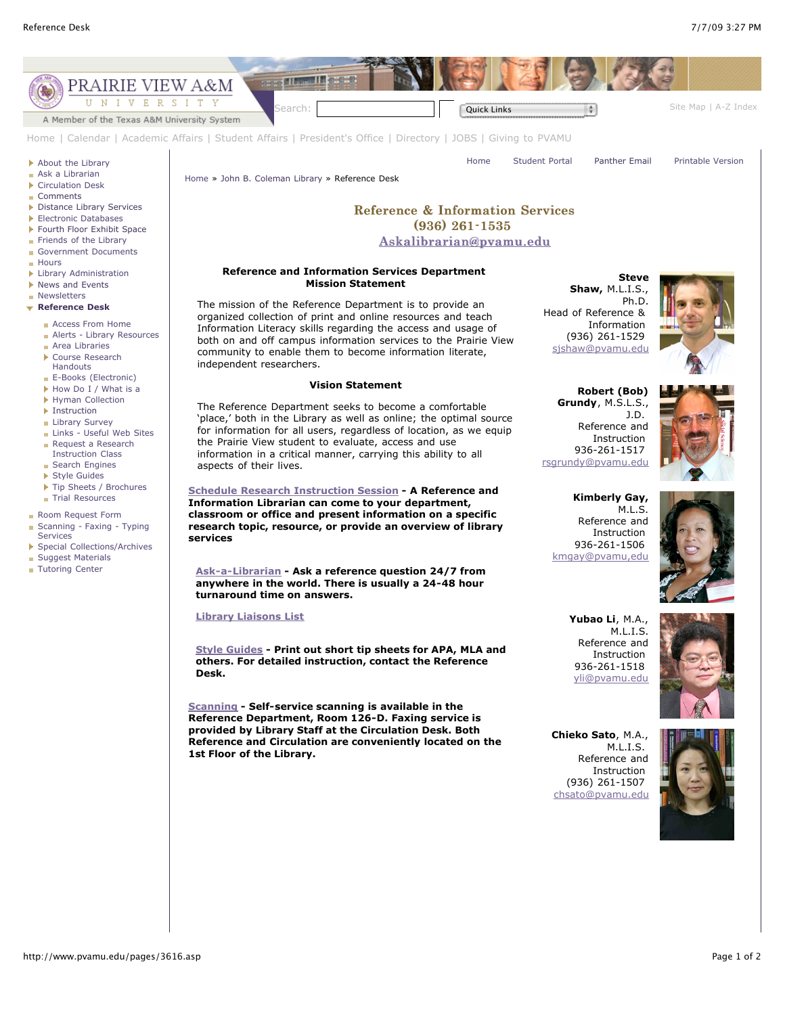